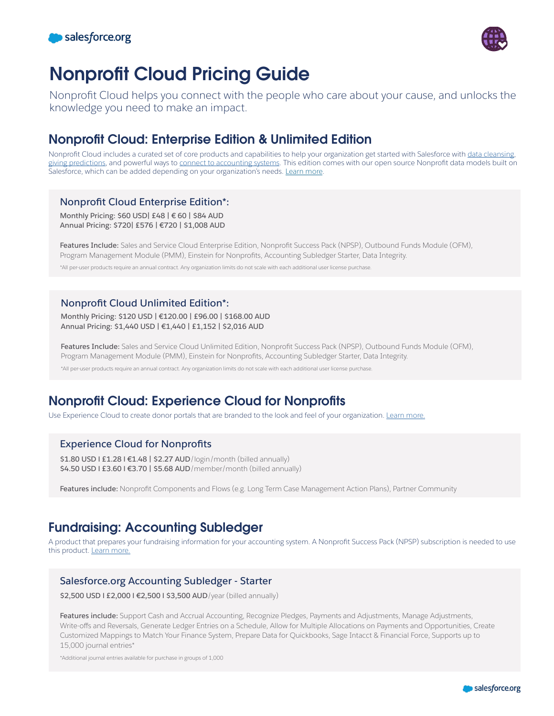



# Nonprofit Cloud Pricing Guide

Nonprofit Cloud helps you connect with the people who care about your cause, and unlocks the knowledge you need to make an impact.

### Nonprofit Cloud: Enterprise Edition & Unlimited Edition

Nonprofit Cloud includes a curated set of core products and capabilities to help your organization get started with Salesforce with [data cleansing](https://www.salesforce.org/nonprofit/insights-platform/), [giving predictions,](https://www.salesforce.org/nonprofit/fundraising/) and powerful ways to [connect to accounting systems](https://www.salesforce.org/accounting-subledger/). This edition comes with our open source Nonprofit data models built on Salesforce, which can be added depending on your organization's needs. [Learn more](https://www.salesforce.com/form/sfdo/ngo/get-started-cloud-demo/).

### **Nonprofit Cloud Enterprise Edition\*:**

**Monthly Pricing: \$60 USD| £48 | € 60 | \$84 AUD Annual Pricing: \$720| £576 | €720 | \$1,008 AUD**

**Features Include:** Sales and Service Cloud Enterprise Edition, Nonprofit Success Pack (NPSP), Outbound Funds Module (OFM), Program Management Module (PMM), Einstein for Nonprofits, Accounting Subledger Starter, Data Integrity.

\*All per-user products require an annual contract. Any organization limits do not scale with each additional user license purchase.

### **Nonprofit Cloud Unlimited Edition\*:**

**Monthly Pricing: \$120 USD | €120.00 | £96.00 | \$168.00 AUD Annual Pricing: \$1,440 USD | €1,440 | £1,152 | \$2,016 AUD**

**Features Include:** Sales and Service Cloud Unlimited Edition, Nonprofit Success Pack (NPSP), Outbound Funds Module (OFM), Program Management Module (PMM), Einstein for Nonprofits, Accounting Subledger Starter, Data Integrity.

\*All per-user products require an annual contract. Any organization limits do not scale with each additional user license purchase.

## Nonprofit Cloud: Experience Cloud for Nonprofits

Use Experience Cloud to create donor portals that are branded to the look and feel of your organization. [Learn more.](https://www.salesforce.com/products/experience-cloud/overview/)

### **Experience Cloud for Nonprofits**

\$1.80 USD **| £1.28 | €1.48 | \$2.27 AUD**/login/month (billed annually) **\$4.50 USD l £3.60 l €3.70 | \$5.68 AUD**/member/month (billed annually)

**Features include:** Nonprofit Components and Flows (e.g. Long Term Case Management Action Plans), Partner Community

### Fundraising: Accounting Subledger

A product that prepares your fundraising information for your accounting system. A Nonprofit Success Pack (NPSP) subscription is needed to use this product. [Learn more.](https://www.salesforce.org/accounting-subledger/)

#### **Salesforce.org Accounting Subledger - Starter**

\$2,500 USD **| £2,000 | €2,500 | \$3,500 AUD**/year (billed annually)

**Features include:** Support Cash and Accrual Accounting, Recognize Pledges, Payments and Adjustments, Manage Adjustments, Write-offs and Reversals, Generate Ledger Entries on a Schedule, Allow for Multiple Allocations on Payments and Opportunities, Create Customized Mappings to Match Your Finance System, Prepare Data for Quickbooks, Sage Intacct & Financial Force, Supports up to 15,000 journal entries\*

\*Additional journal entries available for purchase in groups of 1,000

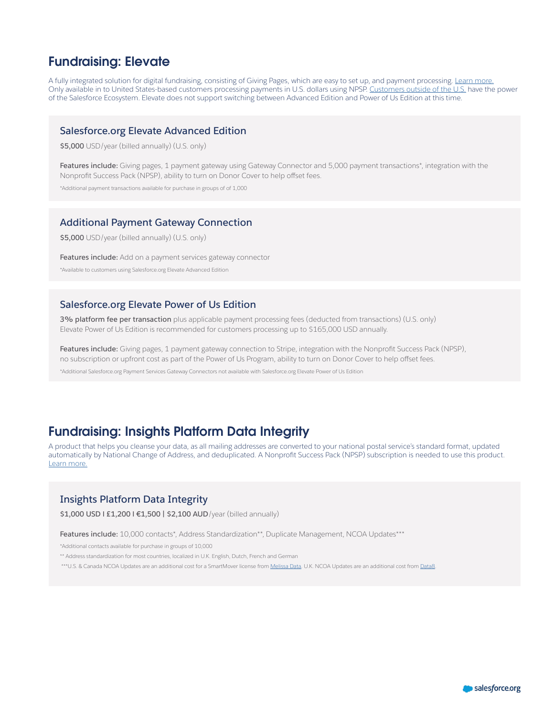### Fundraising: Elevate

A fully integrated solution for digital fundraising, consisting of Giving Pages, which are easy to set up, and payment processing. [Learn more.](https://www.salesforce.org/elevate/) Only available in to United States-based customers processing payments in U.S. dollars using NPSP. [Customers outside of the U.S.](https://www.salesforce.org/blog/power-of-the-ecosystem/) have the power of the Salesforce Ecosystem. Elevate does not support switching between Advanced Edition and Power of Us Edition at this time.

#### **Salesforce.org Elevate Advanced Edition**

**\$5,000** USD/year (billed annually) (U.S. only)

Features include: Giving pages, 1 payment gateway using Gateway Connector and 5,000 payment transactions\*, integration with the Nonprofit Success Pack (NPSP), ability to turn on Donor Cover to help offset fees.

\*Additional payment transactions available for purchase in groups of of 1,000

#### **Additional Payment Gateway Connection**

**\$5,000** USD/year (billed annually) (U.S. only)

**Features include:** Add on a payment services gateway connector

\*Available to customers using Salesforce.org Elevate Advanced Edition

#### **Salesforce.org Elevate Power of Us Edition**

**3% platform fee per transaction** plus applicable payment processing fees (deducted from transactions) (U.S. only) Elevate Power of Us Edition is recommended for customers processing up to \$165,000 USD annually.

**Features include:** Giving pages, 1 payment gateway connection to Stripe, integration with the Nonprofit Success Pack (NPSP), no subscription or upfront cost as part of the Power of Us Program, ability to turn on Donor Cover to help offset fees.

\*Additional Salesforce.org Payment Services Gateway Connectors not available with Salesforce.org Elevate Power of Us Edition

### Fundraising: Insights Platform Data Integrity

A product that helps you cleanse your data, as all mailing addresses are converted to your national postal service's standard format, updated automatically by National Change of Address, and deduplicated. A Nonprofit Success Pack (NPSP) subscription is needed to use this product. [Learn more.](https://www.salesforce.org/nonprofit/insights-platform/)

#### **Insights Platform Data Integrity**

**\$1,000 USD l £1,200 l €1,500 | \$2,100 AUD**/year (billed annually)

**Features include:** 10,000 contacts\*, Address Standardization\*\*, Duplicate Management, NCOA Updates\*\*\*

\*Additional contacts available for purchase in groups of 10,000

\*\* Address standardization for most countries, localized in U.K. English, Dutch, French and German

\*\*\*U.S. & Canada NCOA Updates are an additional cost for a SmartMover license from [Melissa Data.](https://www.melissa.com/ncoalink-processing&sa=D&source=editors&ust=1637013230808000&usg=AOvVaw1nRFac6s-BbfiHbVmI4PDK) U.K. NCOA Updates are an additional cost from [Data8](https://www.data-8.co.uk/&sa=D&source=editors&ust=1637013230807000&usg=AOvVaw3BLhiMiIdlVQ9Adbo1FQGp).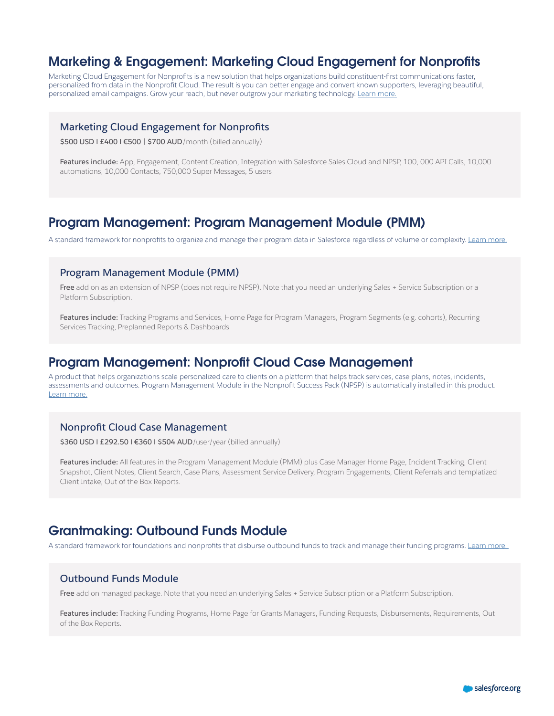### Marketing & Engagement: Marketing Cloud Engagement for Nonprofits

Marketing Cloud Engagement for Nonprofits is a new solution that helps organizations build constituent-first communications faster, personalized from data in the Nonprofit Cloud. The result is you can better engage and convert known supporters, leveraging beautiful, personalized email campaigns. Grow your reach, but never outgrow your marketing technology. [Learn more.](https://www.salesforce.org/nonprofit/marketing-cloud/)

#### **Marketing Cloud Engagement for Nonprofits**

**\$500 USD l £400 l €500 | \$700 AUD**/month (billed annually)

**Features include:** App, Engagement, Content Creation, Integration with Salesforce Sales Cloud and NPSP, 100, 000 API Calls, 10,000 automations, 10,000 Contacts, 750,000 Super Messages, 5 users

### Program Management: Program Management Module (PMM)

A standard framework for nonprofits to organize and manage their program data in Salesforce regardless of volume or complexity. [Learn more.](https://www.salesforce.org/nonprofit/nonprofit-success-pack/)

#### **Program Management Module (PMM)**

**Free** add on as an extension of NPSP (does not require NPSP). Note that you need an underlying Sales + Service Subscription or a Platform Subscription.

**Features include:** Tracking Programs and Services, Home Page for Program Managers, Program Segments (e.g. cohorts), Recurring Services Tracking, Preplanned Reports & Dashboards

### Program Management: Nonprofit Cloud Case Management

A product that helps organizations scale personalized care to clients on a platform that helps track services, case plans, notes, incidents, assessments and outcomes. Program Management Module in the Nonprofit Success Pack (NPSP) is automatically installed in this product. [Learn more.](https://www.salesforce.org/nonprofit/case-management/)

#### **Nonprofit Cloud Case Management**

\$360 USD **I £292.50 I €360 I \$504 AUD**/user/year (billed annually)

**Features include:** All features in the Program Management Module (PMM) plus Case Manager Home Page, Incident Tracking, Client Snapshot, Client Notes, Client Search, Case Plans, Assessment Service Delivery, Program Engagements, Client Referrals and templatized Client Intake, Out of the Box Reports.

### Grantmaking: Outbound Funds Module

A standard framework for foundations and nonprofits that disburse outbound funds to track and manage their funding programs. Learn more.

#### **Outbound Funds Module**

**Free** add on managed package. Note that you need an underlying Sales + Service Subscription or a Platform Subscription.

**Features include:** Tracking Funding Programs, Home Page for Grants Managers, Funding Requests, Disbursements, Requirements, Out of the Box Reports.